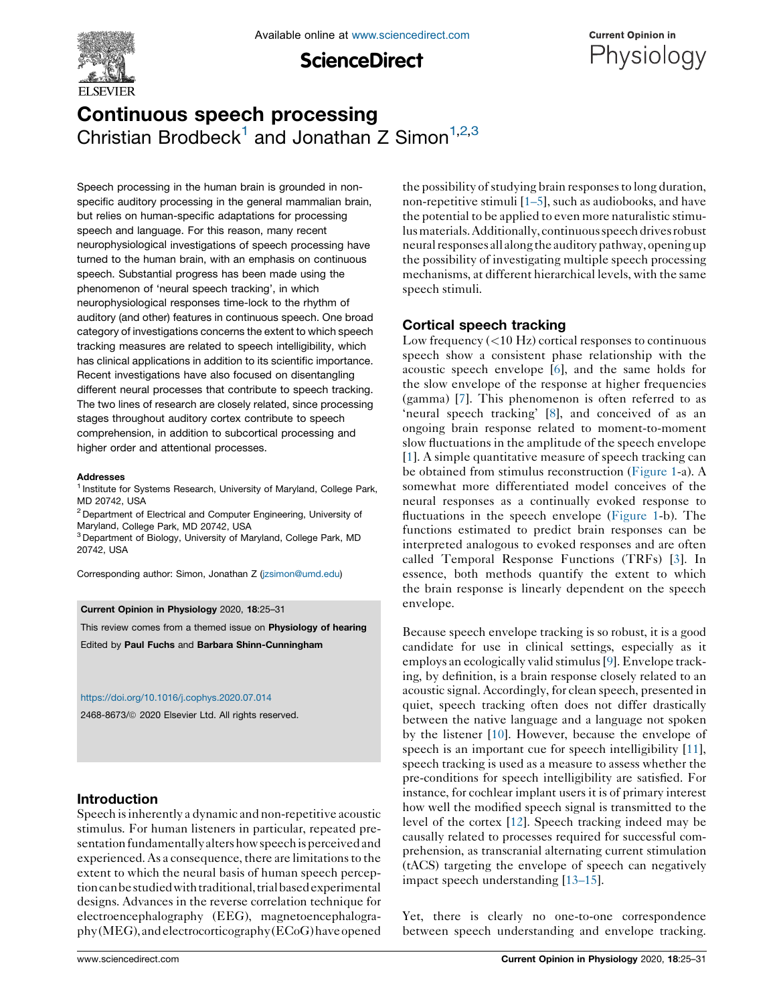

**ScienceDirect** 



# Continuous speech processing Christian Brodbeck<sup>1</sup> and Jonathan Z Simon<sup>1,2,3</sup>

Speech processing in the human brain is grounded in nonspecific auditory processing in the general mammalian brain, but relies on human-specific adaptations for processing speech and language. For this reason, many recent neurophysiological investigations of speech processing have turned to the human brain, with an emphasis on continuous speech. Substantial progress has been made using the phenomenon of 'neural speech tracking', in which neurophysiological responses time-lock to the rhythm of auditory (and other) features in continuous speech. One broad category of investigations concerns the extent to which speech tracking measures are related to speech intelligibility, which has clinical applications in addition to its scientific importance. Recent investigations have also focused on disentangling different neural processes that contribute to speech tracking. The two lines of research are closely related, since processing stages throughout auditory cortex contribute to speech comprehension, in addition to subcortical processing and higher order and attentional processes.

#### Addresses

<sup>1</sup> Institute for Systems Research, University of Maryland, College Park, MD 20742, USA

<sup>2</sup> Department of Electrical and Computer Engineering, University of Maryland, College Park, MD 20742, USA

<sup>3</sup> Department of Biology, University of Maryland, College Park, MD 20742, USA

Corresponding author: Simon, Jonathan Z ([jzsimon@umd.edu\)](mailto:jzsimon@umd.edu)

#### Current Opinion in Physiology 2020, 18:25–31

This review comes from a themed issue on Physiology of hearing

Edited by Paul Fuchs and Barbara Shinn-Cunningham

#### <https://doi.org/10.1016/j.cophys.2020.07.014>

2468-8673/ 2020 Elsevier Ltd. All rights reserved.

# Introduction

Speech isinherently a dynamic and non-repetitive acoustic stimulus. For human listeners in particular, repeated presentation fundamentallyalters how speechis perceived and experienced. As a consequence, there are limitations to the extent to which the neural basis of human speech perceptioncanbe studiedwith traditional, trialbasedexperimental designs. Advances in the reverse correlation technique for electroencephalography (EEG), magnetoencephalography (MEG),andelectrocorticography (ECoG)haveopened the possibility of studying brain responses to long duration, non-repetitive stimuli [[1–5](#page-4-0)], such as audiobooks, and have the potential to be applied to even more naturalistic stimulusmaterials.Additionally,continuous speech drives robust neural responses all along the auditorypathway, opening up the possibility of investigating multiple speech processing mechanisms, at different hierarchical levels, with the same speech stimuli.

# Cortical speech tracking

Low frequency  $(<10 \text{ Hz})$  cortical responses to continuous speech show a consistent phase relationship with the acoustic speech envelope [\[6](#page-4-0)], and the same holds for the slow envelope of the response at higher frequencies (gamma) [[7\]](#page-4-0). This phenomenon is often referred to as 'neural speech tracking' [\[8](#page-4-0)], and conceived of as an ongoing brain response related to moment-to-moment slow fluctuations in the amplitude of the speech envelope [[1](#page-4-0)]. A simple quantitative measure of speech tracking can be obtained from stimulus reconstruction [\(Figure](#page-1-0) 1-a). A somewhat more differentiated model conceives of the neural responses as a continually evoked response to fluctuations in the speech envelope [\(Figure](#page-1-0) 1-b). The functions estimated to predict brain responses can be interpreted analogous to evoked responses and are often called Temporal Response Functions (TRFs) [[3\]](#page-4-0). In essence, both methods quantify the extent to which the brain response is linearly dependent on the speech envelope.

Because speech envelope tracking is so robust, it is a good candidate for use in clinical settings, especially as it employs an ecologically valid stimulus[[9\]](#page-4-0). Envelope tracking, by definition, is a brain response closely related to an acoustic signal. Accordingly, for clean speech, presented in quiet, speech tracking often does not differ drastically between the native language and a language not spoken by the listener [[10](#page-4-0)]. However, because the envelope of speech is an important cue for speech intelligibility [[11\]](#page-4-0), speech tracking is used as a measure to assess whether the pre-conditions for speech intelligibility are satisfied. For instance, for cochlear implant users it is of primary interest how well the modified speech signal is transmitted to the level of the cortex [[12](#page-4-0)]. Speech tracking indeed may be causally related to processes required for successful comprehension, as transcranial alternating current stimulation (tACS) targeting the envelope of speech can negatively impact speech understanding [\[13–15](#page-4-0)].

Yet, there is clearly no one-to-one correspondence between speech understanding and envelope tracking.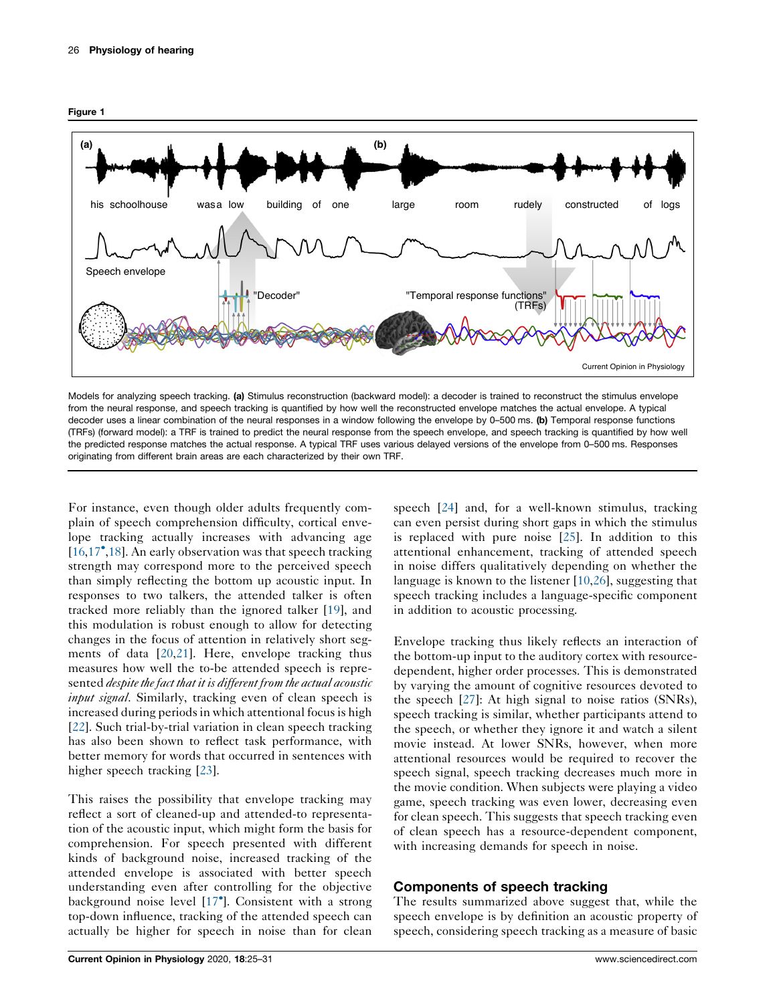<span id="page-1-0"></span>



Models for analyzing speech tracking. (a) Stimulus reconstruction (backward model): a decoder is trained to reconstruct the stimulus envelope from the neural response, and speech tracking is quantified by how well the reconstructed envelope matches the actual envelope. A typical decoder uses a linear combination of the neural responses in a window following the envelope by 0-500 ms. (b) Temporal response functions (TRFs) (forward model): a TRF is trained to predict the neural response from the speech envelope, and speech tracking is quantified by how well the predicted response matches the actual response. A typical TRF uses various delayed versions of the envelope from 0–500 ms. Responses originating from different brain areas are each characterized by their own TRF.

For instance, even though older adults frequently complain of speech comprehension difficulty, cortical envelope tracking actually increases with advancing age [\[16](#page-4-0),[17](#page-4-0)<sup>°</sup>,[18\]](#page-4-0). An early observation was that speech tracking strength may correspond more to the perceived speech than simply reflecting the bottom up acoustic input. In responses to two talkers, the attended talker is often tracked more reliably than the ignored talker [[19\]](#page-4-0), and this modulation is robust enough to allow for detecting changes in the focus of attention in relatively short segments of data [[20,21](#page-4-0)]. Here, envelope tracking thus measures how well the to-be attended speech is represented despite the fact that it is different from the actual acoustic input signal. Similarly, tracking even of clean speech is increased during periods in which attentional focus is high [\[22](#page-4-0)]. Such trial-by-trial variation in clean speech tracking has also been shown to reflect task performance, with better memory for words that occurred in sentences with higher speech tracking [\[23\]](#page-4-0).

This raises the possibility that envelope tracking may reflect a sort of cleaned-up and attended-to representation of the acoustic input, which might form the basis for comprehension. For speech presented with different kinds of background noise, increased tracking of the attended envelope is associated with better speech understanding even after controlling for the objective background noise level [[17](#page-4-0) ]. Consistent with a strong top-down influence, tracking of the attended speech can actually be higher for speech in noise than for clean

speech [\[24](#page-4-0)] and, for a well-known stimulus, tracking can even persist during short gaps in which the stimulus is replaced with pure noise [\[25](#page-4-0)]. In addition to this attentional enhancement, tracking of attended speech in noise differs qualitatively depending on whether the language is known to the listener [[10,26\]](#page-4-0), suggesting that speech tracking includes a language-specific component in addition to acoustic processing.

Envelope tracking thus likely reflects an interaction of the bottom-up input to the auditory cortex with resourcedependent, higher order processes. This is demonstrated by varying the amount of cognitive resources devoted to the speech [[27\]](#page-4-0): At high signal to noise ratios (SNRs), speech tracking is similar, whether participants attend to the speech, or whether they ignore it and watch a silent movie instead. At lower SNRs, however, when more attentional resources would be required to recover the speech signal, speech tracking decreases much more in the movie condition. When subjects were playing a video game, speech tracking was even lower, decreasing even for clean speech. This suggests that speech tracking even of clean speech has a resource-dependent component, with increasing demands for speech in noise.

# Components of speech tracking

The results summarized above suggest that, while the speech envelope is by definition an acoustic property of speech, considering speech tracking as a measure of basic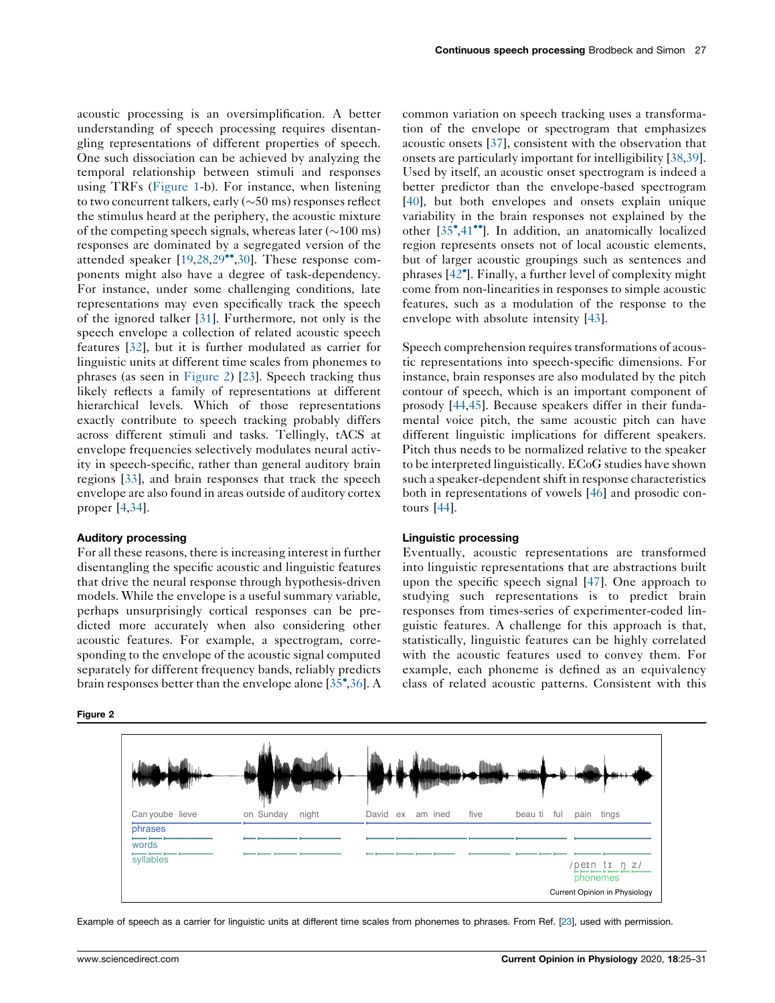acoustic processing is an oversimplification. A better understanding of speech processing requires disentangling representations of different properties of speech. One such dissociation can be achieved by analyzing the temporal relationship between stimuli and responses using TRFs ([Figure](#page-1-0) 1-b). For instance, when listening to two concurrent talkers, early  $(\sim 50 \text{ ms})$  responses reflect the stimulus heard at the periphery, the acoustic mixture of the competing speech signals, whereas later  $(\sim 100 \text{ ms})$ responses are dominated by a segregated version of the attended speaker [[19,28](#page-4-0),[29](#page-4-0)<sup>\*</sup>,[30\]](#page-4-0). These response components might also have a degree of task-dependency. For instance, under some challenging conditions, late representations may even specifically track the speech of the ignored talker [[31\]](#page-4-0). Furthermore, not only is the speech envelope a collection of related acoustic speech features [\[32](#page-4-0)], but it is further modulated as carrier for linguistic units at different time scales from phonemes to phrases (as seen in Figure 2) [[23\]](#page-4-0). Speech tracking thus likely reflects a family of representations at different hierarchical levels. Which of those representations exactly contribute to speech tracking probably differs across different stimuli and tasks. Tellingly, tACS at envelope frequencies selectively modulates neural activity in speech-specific, rather than general auditory brain regions [[33\]](#page-5-0), and brain responses that track the speech envelope are also found in areas outside of auditory cortex proper [\[4](#page-4-0),[34\]](#page-5-0).

#### Auditory processing

For all these reasons, there is increasing interest in further disentangling the specific acoustic and linguistic features that drive the neural response through hypothesis-driven models. While the envelope is a useful summary variable, perhaps unsurprisingly cortical responses can be predicted more accurately when also considering other acoustic features. For example, a spectrogram, corresponding to the envelope of the acoustic signal computed separately for different frequency bands, reliably predicts brain responses better than the envelope alone [[35](#page-5-0) ,[36\]](#page-5-0). A

Figure 2

common variation on speech tracking uses a transformation of the envelope or spectrogram that emphasizes acoustic onsets [[37\]](#page-5-0), consistent with the observation that onsets are particularly important for intelligibility [\[38](#page-5-0),[39\]](#page-5-0). Used by itself, an acoustic onset spectrogram is indeed a better predictor than the envelope-based spectrogram [[40](#page-5-0)], but both envelopes and onsets explain unique variability in the brain responses not explained by the other [\[35](#page-5-0)°[,41](#page-5-0)°]. In addition, an anatomically localized region represents onsets not of local acoustic elements, but of larger acoustic groupings such as sentences and phrases [\[42](#page-5-0) ]. Finally, a further level of complexity might come from non-linearities in responses to simple acoustic features, such as a modulation of the response to the envelope with absolute intensity [[43\]](#page-5-0).

Speech comprehension requires transformations of acoustic representations into speech-specific dimensions. For instance, brain responses are also modulated by the pitch contour of speech, which is an important component of prosody [\[44](#page-5-0),[45\]](#page-5-0). Because speakers differ in their fundamental voice pitch, the same acoustic pitch can have different linguistic implications for different speakers. Pitch thus needs to be normalized relative to the speaker to be interpreted linguistically. ECoG studies have shown such a speaker-dependent shift in response characteristics both in representations of vowels [[46\]](#page-5-0) and prosodic contours [[44\]](#page-5-0).

#### Linguistic processing

Eventually, acoustic representations are transformed into linguistic representations that are abstractions built upon the specific speech signal [\[47\]](#page-5-0). One approach to studying such representations is to predict brain responses from times-series of experimenter-coded linguistic features. A challenge for this approach is that, statistically, linguistic features can be highly correlated with the acoustic features used to convey them. For example, each phoneme is defined as an equivalency class of related acoustic patterns. Consistent with this



Example of speech as a carrier for linguistic units at different time scales from phonemes to phrases. From Ref. [[23](#page-4-0)], used with permission.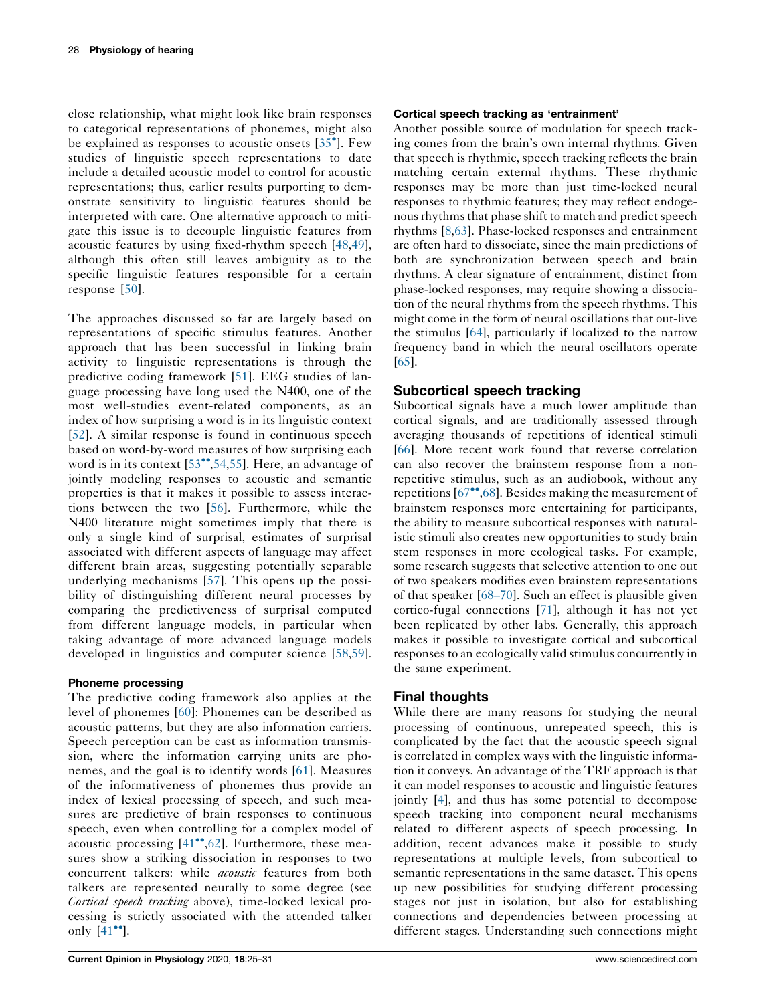close relationship, what might look like brain responses to categorical representations of phonemes, might also be explained as responses to acoustic onsets [35 ]. [Few](#page-5-0) studies of linguistic speech representations to date include a detailed acoustic model to control for acoustic representations; thus, earlier results purporting to demonstrate sensitivity to linguistic features should be interpreted with care. One alternative approach to mitigate this issue is to decouple linguistic features from acoustic features by using fixed-rhythm speech [\[48,49](#page-5-0)], although this often still leaves ambiguity as to the specific linguistic features responsible for a certain response [[50\]](#page-5-0).

The approaches discussed so far are largely based on representations of specific stimulus features. Another approach that has been successful in linking brain activity to linguistic representations is through the predictive coding framework [\[51](#page-5-0)]. EEG studies of language processing have long used the N400, one of the most well-studies event-related components, as an index of how surprising a word is in its linguistic context [\[52](#page-5-0)]. A similar response is found in continuous speech based on word-by-word measures of how surprising each word is in its context  $[53^{\bullet\bullet}, 54, 55]$  $[53^{\bullet\bullet}, 54, 55]$ . Here, an advantage of jointly modeling responses to acoustic and semantic properties is that it makes it possible to assess interactions between the two [[56\]](#page-5-0). Furthermore, while the N400 literature might sometimes imply that there is only a single kind of surprisal, estimates of surprisal associated with different aspects of language may affect different brain areas, suggesting potentially separable underlying mechanisms [[57](#page-5-0)]. This opens up the possibility of distinguishing different neural processes by comparing the predictiveness of surprisal computed from different language models, in particular when taking advantage of more advanced language models developed in linguistics and computer science [\[58,59](#page-5-0)].

## Phoneme processing

The predictive coding framework also applies at the level of phonemes [[60](#page-5-0)]: Phonemes can be described as acoustic patterns, but they are also information carriers. Speech perception can be cast as information transmission, where the information carrying units are phonemes, and the goal is to identify words [\[61](#page-5-0)]. Measures of the informativeness of phonemes thus provide an index of lexical processing of speech, and such measures are predictive of brain responses to continuous speech, even when controlling for a complex model of acoustic processing  $[41^{\bullet\bullet}, 62]$  $[41^{\bullet\bullet}, 62]$ . Furthermore, these measures show a striking dissociation in responses to two concurrent talkers: while *acoustic* features from both talkers are represented neurally to some degree (see Cortical speech tracking above), time-locked lexical processing is strictly associated with the attended talker only  $[41$  $[41$ <sup>\*</sup>].

## Cortical speech tracking as 'entrainment'

Another possible source of modulation for speech tracking comes from the brain's own internal rhythms. Given that speech is rhythmic, speech tracking reflects the brain matching certain external rhythms. These rhythmic responses may be more than just time-locked neural responses to rhythmic features; they may reflect endogenous rhythms that phase shift to match and predict speech rhythms [[8](#page-4-0)[,63](#page-5-0)]. Phase-locked responses and entrainment are often hard to dissociate, since the main predictions of both are synchronization between speech and brain rhythms. A clear signature of entrainment, distinct from phase-locked responses, may require showing a dissociation of the neural rhythms from the speech rhythms. This might come in the form of neural oscillations that out-live the stimulus [[64](#page-5-0)], particularly if localized to the narrow frequency band in which the neural oscillators operate [\[65](#page-5-0)].

## Subcortical speech tracking

Subcortical signals have a much lower amplitude than cortical signals, and are traditionally assessed through averaging thousands of repetitions of identical stimuli [\[66](#page-5-0)]. More recent work found that reverse correlation can also recover the brainstem response from a nonrepetitive stimulus, such as an audiobook, without any repetitions  $[67\degree, 68]$  $[67\degree, 68]$  $[67\degree, 68]$  $[67\degree, 68]$ . Besides making the measurement of brainstem responses more entertaining for participants, the ability to measure subcortical responses with naturalistic stimuli also creates new opportunities to study brain stem responses in more ecological tasks. For example, some research suggests that selective attention to one out of two speakers modifies even brainstem representations of that speaker [\[68–70](#page-5-0)]. Such an effect is plausible given cortico-fugal connections [\[71](#page-6-0)], although it has not yet been replicated by other labs. Generally, this approach makes it possible to investigate cortical and subcortical responses to an ecologically valid stimulus concurrently in the same experiment.

## Final thoughts

While there are many reasons for studying the neural processing of continuous, unrepeated speech, this is complicated by the fact that the acoustic speech signal is correlated in complex ways with the linguistic information it conveys. An advantage of the TRF approach is that it can model responses to acoustic and linguistic features jointly [\[4](#page-4-0)], and thus has some potential to decompose speech tracking into component neural mechanisms related to different aspects of speech processing. In addition, recent advances make it possible to study representations at multiple levels, from subcortical to semantic representations in the same dataset. This opens up new possibilities for studying different processing stages not just in isolation, but also for establishing connections and dependencies between processing at different stages. Understanding such connections might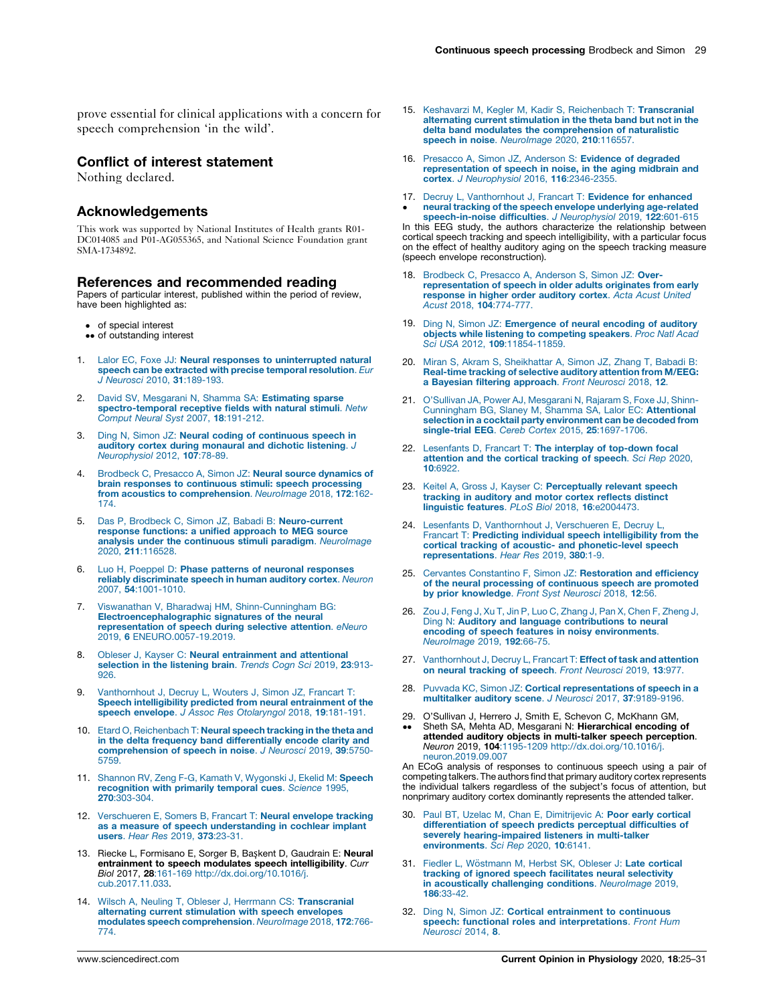<span id="page-4-0"></span>prove essential for clinical applications with a concern for speech comprehension 'in the wild'.

## Conflict of interest statement

Nothing declared.

## Acknowledgements

This work was supported by National Institutes of Health grants R01- DC014085 and P01-AG055365, and National Science Foundation grant SMA-1734892.

#### References and recommended reading

Papers of particular interest, published within the period of review, have been highlighted as:

- of special interest
- •• of outstanding interest
- Lalor EC, Foxe JJ: Neural responses to [uninterrupted](http://refhub.elsevier.com/S2468-8673(20)30076-6/sbref0005) natural speech can be extracted with precise temporal [resolution](http://refhub.elsevier.com/S2468-8673(20)30076-6/sbref0005). Eur J Neurosci 2010, 31[:189-193.](http://refhub.elsevier.com/S2468-8673(20)30076-6/sbref0005)
- 2. David SV, Mesgarani N, Shamma SA: [Estimating](http://refhub.elsevier.com/S2468-8673(20)30076-6/sbref0010) sparse [spectro-temporal](http://refhub.elsevier.com/S2468-8673(20)30076-6/sbref0010) receptive fields with natural stimuli. Netw Comput Neural Syst 2007, 18[:191-212.](http://refhub.elsevier.com/S2468-8673(20)30076-6/sbref0010)
- 3. Ding N, Simon JZ: Neural coding of [continuous](http://refhub.elsevier.com/S2468-8673(20)30076-6/sbref0015) speech in auditory cortex during [monaural](http://refhub.elsevier.com/S2468-8673(20)30076-6/sbref0015) and dichotic listening. J [Neurophysiol](http://refhub.elsevier.com/S2468-8673(20)30076-6/sbref0015) 2012, 107:78-89.
- Brodbeck C, Presacco A, Simon JZ: Neural source [dynamics](http://refhub.elsevier.com/S2468-8673(20)30076-6/sbref0020) of brain responses to [continuous](http://refhub.elsevier.com/S2468-8673(20)30076-6/sbref0020) stimuli: speech processing from acoustics to [comprehension](http://refhub.elsevier.com/S2468-8673(20)30076-6/sbref0020). NeuroImage 2018, 172:162-[174.](http://refhub.elsevier.com/S2468-8673(20)30076-6/sbref0020)
- 5. Das P, Brodbeck C, Simon JZ, Babadi B: [Neuro-current](http://refhub.elsevier.com/S2468-8673(20)30076-6/sbref0025) response [functions:](http://refhub.elsevier.com/S2468-8673(20)30076-6/sbref0025) a unified approach to MEG source analysis under the continuous stimuli paradigm. [NeuroImage](http://refhub.elsevier.com/S2468-8673(20)30076-6/sbref0025) 2020, 211[:116528.](http://refhub.elsevier.com/S2468-8673(20)30076-6/sbref0025)
- 6. Luo H, Poeppel D: Phase patterns of neuronal [responses](http://refhub.elsevier.com/S2468-8673(20)30076-6/sbref0030) reliably [discriminate](http://refhub.elsevier.com/S2468-8673(20)30076-6/sbref0030) speech in human auditory cortex. Neuron 2007, 54[:1001-1010.](http://refhub.elsevier.com/S2468-8673(20)30076-6/sbref0030)
- 7. Viswanathan V, Bharadwaj HM, [Shinn-Cunningham](http://refhub.elsevier.com/S2468-8673(20)30076-6/sbref0035) BG: [Electroencephalographic](http://refhub.elsevier.com/S2468-8673(20)30076-6/sbref0035) signatures of the neural [representation](http://refhub.elsevier.com/S2468-8673(20)30076-6/sbref0035) of speech during selective attention. eNeuro 2019, 6 [ENEURO.0057-19.2019.](http://refhub.elsevier.com/S2468-8673(20)30076-6/sbref0035)
- 8. Obleser J, Kayser C: Neural [entrainment](http://refhub.elsevier.com/S2468-8673(20)30076-6/sbref0040) and attentional [selection](http://refhub.elsevier.com/S2468-8673(20)30076-6/sbref0040) in the listening brain. Trends Cogn Sci 2019, 23:913-[926.](http://refhub.elsevier.com/S2468-8673(20)30076-6/sbref0040)
- 9. [Vanthornhout](http://refhub.elsevier.com/S2468-8673(20)30076-6/sbref0045) J, Decruy L, Wouters J, Simon JZ, Francart T: Speech intelligibility predicted from neural [entrainment](http://refhub.elsevier.com/S2468-8673(20)30076-6/sbref0045) of the speech envelope. J Assoc Res [Otolaryngol](http://refhub.elsevier.com/S2468-8673(20)30076-6/sbref0045) 2018, 19:181-191.
- 10. Etard O, [Reichenbach](http://refhub.elsevier.com/S2468-8673(20)30076-6/sbref0050) T: Neural speech tracking in the theta and in the delta frequency band [differentially](http://refhub.elsevier.com/S2468-8673(20)30076-6/sbref0050) encode clarity and [comprehension](http://refhub.elsevier.com/S2468-8673(20)30076-6/sbref0050) of speech in noise. J Neurosci 2019, 39:5750- [5759.](http://refhub.elsevier.com/S2468-8673(20)30076-6/sbref0050)
- 11. Shannon RV, Zeng F-G, Kamath V, [Wygonski](http://refhub.elsevier.com/S2468-8673(20)30076-6/sbref0055) J, Ekelid M: Speech [recognition](http://refhub.elsevier.com/S2468-8673(20)30076-6/sbref0055) with primarily temporal cues. Science 1995, 270[:303-304.](http://refhub.elsevier.com/S2468-8673(20)30076-6/sbref0055)
- 12. [Verschueren](http://refhub.elsevier.com/S2468-8673(20)30076-6/sbref0060) E, Somers B, Francart T: Neural envelope tracking as a measure of speech [understanding](http://refhub.elsevier.com/S2468-8673(20)30076-6/sbref0060) in cochlear implant users. Hear Res 2019, 373[:23-31.](http://refhub.elsevier.com/S2468-8673(20)30076-6/sbref0060)
- 13. Riecke L, Formisano E, Sorger B, Başkent D, Gaudrain E: Neural **entrainment to speech modulates speech intelligibility**. *Curr*<br>*Biol* 2017, **28**:161-169 [http://dx.doi.org/10.1016/j.](http://dx.doi.org/10.1016/j.cub.2017.11.033) [cub.2017.11.033](http://dx.doi.org/10.1016/j.cub.2017.11.033).
- 14. Wilsch A, Neuling T, Obleser J, Herrmann CS: [Transcranial](http://refhub.elsevier.com/S2468-8673(20)30076-6/sbref0070) alternating current [stimulation](http://refhub.elsevier.com/S2468-8673(20)30076-6/sbref0070) with speech envelopes modulates speech [comprehension](http://refhub.elsevier.com/S2468-8673(20)30076-6/sbref0070). NeuroImage 2018, 172:766- [774.](http://refhub.elsevier.com/S2468-8673(20)30076-6/sbref0070)
- 15. Keshavarzi M, Kegler M, Kadir S, [Reichenbach](http://refhub.elsevier.com/S2468-8673(20)30076-6/sbref0075) T: Transcranial alternating current [stimulation](http://refhub.elsevier.com/S2468-8673(20)30076-6/sbref0075) in the theta band but not in the delta band modulates the [comprehension](http://refhub.elsevier.com/S2468-8673(20)30076-6/sbref0075) of naturalistic speech in noise. [NeuroImage](http://refhub.elsevier.com/S2468-8673(20)30076-6/sbref0075) 2020, 210:116557.
- 16. Presacco A, Simon JZ, Anderson S: Evidence of [degraded](http://refhub.elsevier.com/S2468-8673(20)30076-6/sbref0080) [representation](http://refhub.elsevier.com/S2468-8673(20)30076-6/sbref0080) of speech in noise, in the aging midbrain and cortex. J [Neurophysiol](http://refhub.elsevier.com/S2468-8673(20)30076-6/sbref0080) 2016, 116:2346-2355.
- 17. Decruy L, [Vanthornhout](http://refhub.elsevier.com/S2468-8673(20)30076-6/sbref0085) J, Francart T: Evidence for enhanced  $\cdot$ neural tracking of the speech envelope underlying [age-related](http://refhub.elsevier.com/S2468-8673(20)30076-6/sbref0085) [speech-in-noise](http://refhub.elsevier.com/S2468-8673(20)30076-6/sbref0085) difficulties. J Neurophysiol 2019, 122:601-615

In this EEG study, the authors characterize the relationship between cortical speech tracking and speech intelligibility, with a particular focus on the effect of healthy auditory aging on the speech tracking measure (speech envelope reconstruction).

- 18. [Brodbeck](http://refhub.elsevier.com/S2468-8673(20)30076-6/sbref0090) C, Presacco A, Anderson S, Simon JZ: Over[representation](http://refhub.elsevier.com/S2468-8673(20)30076-6/sbref0090) of speech in older adults originates from early [response](http://refhub.elsevier.com/S2468-8673(20)30076-6/sbref0090) in higher order auditory cortex. Acta Acust United Acust 2018, 104[:774-777.](http://refhub.elsevier.com/S2468-8673(20)30076-6/sbref0090)
- 19. Ding N, Simon JZ: [Emergence](http://refhub.elsevier.com/S2468-8673(20)30076-6/sbref0095) of neural encoding of auditory objects while listening to [competing](http://refhub.elsevier.com/S2468-8673(20)30076-6/sbref0095) speakers. Proc Natl Acad Sci USA 2012, 109[:11854-11859.](http://refhub.elsevier.com/S2468-8673(20)30076-6/sbref0095)
- 20. Miran S, Akram S, [Sheikhattar](http://refhub.elsevier.com/S2468-8673(20)30076-6/sbref0100) A, Simon JZ, Zhang T, Babadi B: [Real-time](http://refhub.elsevier.com/S2468-8673(20)30076-6/sbref0100) tracking of selective auditory attention from M/EEG: a Bayesian filtering [approach](http://refhub.elsevier.com/S2468-8673(20)30076-6/sbref0100). Front Neurosci 2018, 12.
- 21. O'Sullivan JA, Power AJ, [Mesgarani](http://refhub.elsevier.com/S2468-8673(20)30076-6/sbref0105) N, Rajaram S, Foxe JJ, Shinn-[Cunningham](http://refhub.elsevier.com/S2468-8673(20)30076-6/sbref0105) BG, Slaney M, Shamma SA, Lalor EC: Attentional selection in a cocktail party [environment](http://refhub.elsevier.com/S2468-8673(20)30076-6/sbref0105) can be decoded from single-trial EEG. Cereb Cortex 2015, 25[:1697-1706.](http://refhub.elsevier.com/S2468-8673(20)30076-6/sbref0105)
- 22. [Lesenfants](http://refhub.elsevier.com/S2468-8673(20)30076-6/sbref0110) D, Francart T: The interplay of top-down focal [attention](http://refhub.elsevier.com/S2468-8673(20)30076-6/sbref0110) and the cortical tracking of speech. Sci Rep 2020, 10[:6922.](http://refhub.elsevier.com/S2468-8673(20)30076-6/sbref0110)
- 23. Keitel A, Gross J, Kayser C: [Perceptually](http://refhub.elsevier.com/S2468-8673(20)30076-6/sbref0115) relevant speech tracking in [auditory](http://refhub.elsevier.com/S2468-8673(20)30076-6/sbref0115) and motor cortex reflects distinct linguistic features. PLoS Biol 2018, 16[:e2004473.](http://refhub.elsevier.com/S2468-8673(20)30076-6/sbref0115)
- 24. Lesenfants D, [Vanthornhout](http://refhub.elsevier.com/S2468-8673(20)30076-6/sbref0120) J, Verschueren E, Decruy L, Francart T: Predicting individual speech [intelligibility](http://refhub.elsevier.com/S2468-8673(20)30076-6/sbref0120) from the cortical tracking of acoustic- and [phonetic-level](http://refhub.elsevier.com/S2468-8673(20)30076-6/sbref0120) speech [representations](http://refhub.elsevier.com/S2468-8673(20)30076-6/sbref0120). Hear Res 2019, 380:1-9.
- 25. Cervantes Constantino F, Simon JZ: [Restoration](http://refhub.elsevier.com/S2468-8673(20)30076-6/sbref0125) and efficiency of the neural processing of [continuous](http://refhub.elsevier.com/S2468-8673(20)30076-6/sbref0125) speech are promoted by prior [knowledge](http://refhub.elsevier.com/S2468-8673(20)30076-6/sbref0125). Front Syst Neurosci 2018, 12:56
- 26. Zou J, Feng J, Xu T, Jin P, Luo C, [Zhang](http://refhub.elsevier.com/S2468-8673(20)30076-6/sbref0130) J, Pan X, Chen F, Zheng J, Ding N: Auditory and language [contributions](http://refhub.elsevier.com/S2468-8673(20)30076-6/sbref0130) to neural encoding of speech features in noisy [environments](http://refhub.elsevier.com/S2468-8673(20)30076-6/sbref0130). [NeuroImage](http://refhub.elsevier.com/S2468-8673(20)30076-6/sbref0130) 2019, 192:66-75.
- 27. [Vanthornhout](http://refhub.elsevier.com/S2468-8673(20)30076-6/sbref0135) J, Decruy L, Francart T: Effect of task and attention on neural tracking of speech. Front [Neurosci](http://refhub.elsevier.com/S2468-8673(20)30076-6/sbref0135) 2019, 13:977.
- 28. Puvvada KC, Simon JZ: Cortical [representations](http://refhub.elsevier.com/S2468-8673(20)30076-6/sbref0140) of speech in a multitalker auditory scene. J Neurosci 2017, 37[:9189-9196.](http://refhub.elsevier.com/S2468-8673(20)30076-6/sbref0140)
- 29.  $\ddot{\phantom{0}}$ O'Sullivan J, Herrero J, Smith E, Schevon C, McKhann GM,<br>Sheth SA, Mehta AD, Mesgarani N: **Hierarchical encoding of** attended auditory objects in multi-talker speech perception. Neuron 2019, 104:1195-1209 [http://dx.doi.org/10.1016/j.](http://dx.doi.org/10.1016/j.neuron.2019.09.007) [neuron.2019.09.007](http://dx.doi.org/10.1016/j.neuron.2019.09.007)

An ECoG analysis of responses to continuous speech using a pair of competing talkers. The authors find that primary auditory cortex represents the individual talkers regardless of the subject's focus of attention, but nonprimary auditory cortex dominantly represents the attended talker.

- 30. Paul BT, Uzelac M, Chan E, [Dimitrijevic](http://refhub.elsevier.com/S2468-8673(20)30076-6/sbref0150) A: Poor early cortical [differentiation](http://refhub.elsevier.com/S2468-8673(20)30076-6/sbref0150) of speech predicts perceptual difficulties of severely [hearing-impaired](http://refhub.elsevier.com/S2468-8673(20)30076-6/sbref0150) listeners in multi-talker [environments](http://refhub.elsevier.com/S2468-8673(20)30076-6/sbref0150). Sci Rep 2020, 10:6141.
- 31. Fiedler L. Wöstmann M. Herbst SK, [Obleser](http://refhub.elsevier.com/S2468-8673(20)30076-6/sbref0155) J: Late cortical tracking of ignored speech facilitates neural [selectivity](http://refhub.elsevier.com/S2468-8673(20)30076-6/sbref0155) in [acoustically](http://refhub.elsevier.com/S2468-8673(20)30076-6/sbref0155) challenging conditions. NeuroImage 2019, 186[:33-42.](http://refhub.elsevier.com/S2468-8673(20)30076-6/sbref0155)
- 32. Ding N, Simon JZ: Cortical [entrainment](http://refhub.elsevier.com/S2468-8673(20)30076-6/sbref0160) to continuous speech: functional roles and [interpretations](http://refhub.elsevier.com/S2468-8673(20)30076-6/sbref0160). Front Hum [Neurosci](http://refhub.elsevier.com/S2468-8673(20)30076-6/sbref0160) 2014, 8.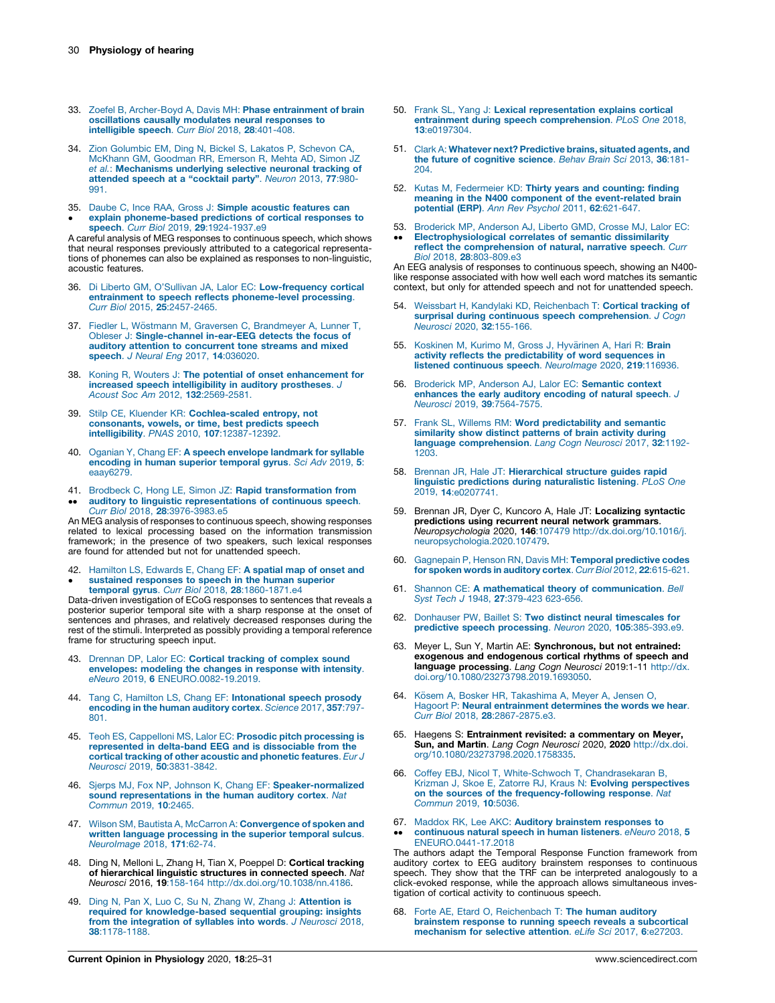- <span id="page-5-0"></span>33. Zoefel B, [Archer-Boyd](http://refhub.elsevier.com/S2468-8673(20)30076-6/sbref0165) A, Davis MH: Phase entrainment of brain [oscillations](http://refhub.elsevier.com/S2468-8673(20)30076-6/sbref0165) causally modulates neural responses to [intelligible](http://refhub.elsevier.com/S2468-8673(20)30076-6/sbref0165) speech. Curr Biol 2018, 28:401-408.
- 34. Zion [Golumbic](http://refhub.elsevier.com/S2468-8673(20)30076-6/sbref0170) EM, Ding N, Bickel S, Lakatos P, Schevon CA, McKhann GM, [Goodman](http://refhub.elsevier.com/S2468-8673(20)30076-6/sbref0170) RR, Emerson R, Mehta AD, Simon JZ et al.: [Mechanisms](http://refhub.elsevier.com/S2468-8673(20)30076-6/sbref0170) underlying selective neuronal tracking of [attended](http://refhub.elsevier.com/S2468-8673(20)30076-6/sbref0170) speech at a "cocktail party". Neuron 2013, 77:980- [991.](http://refhub.elsevier.com/S2468-8673(20)30076-6/sbref0170)
- 35. Daube C, Ince RAA, Gross J: Simple [acoustic](http://refhub.elsevier.com/S2468-8673(20)30076-6/sbref0175) features can  $\bullet$ explain [phoneme-based](http://refhub.elsevier.com/S2468-8673(20)30076-6/sbref0175) predictions of cortical responses to<br>speech. *Curr Biol 2*019, **29**[:1924-1937.e9](http://refhub.elsevier.com/S2468-8673(20)30076-6/sbref0175)

A careful analysis of MEG responses to continuous speech, which shows that neural responses previously attributed to a categorical representations of phonemes can also be explained as responses to non-linguistic, acoustic features.

- 36. Di Liberto GM, O'Sullivan JA, Lalor EC: [Low-frequency](http://refhub.elsevier.com/S2468-8673(20)30076-6/sbref0180) cortical entrainment to speech reflects [phoneme-level](http://refhub.elsevier.com/S2468-8673(20)30076-6/sbref0180) processing. Curr Biol 2015, 25[:2457-2465.](http://refhub.elsevier.com/S2468-8673(20)30076-6/sbref0180)
- 37. Fiedler L, Wöstmann M, Graversen C, [Brandmeyer](http://refhub.elsevier.com/S2468-8673(20)30076-6/sbref0185) A, Lunner T, Obleser J: [Single-channel](http://refhub.elsevier.com/S2468-8673(20)30076-6/sbref0185) in-ear-EEG detects the focus of auditory attention to [concurrent](http://refhub.elsevier.com/S2468-8673(20)30076-6/sbref0185) tone streams and mixed speech. *J Neural Eng* 2017, **14**[:036020.](http://refhub.elsevier.com/S2468-8673(20)30076-6/sbref0185)
- 38. Koning R, Wouters J: The potential of onset [enhancement](http://refhub.elsevier.com/S2468-8673(20)30076-6/sbref0190) for in<mark>creased speech [intelligibility](http://refhub.elsevier.com/S2468-8673(20)30076-6/sbref0190) in auditory prostheses</mark>. J<br>Acoust Soc Am 2012, **132**[:2569-2581.](http://refhub.elsevier.com/S2468-8673(20)30076-6/sbref0190)
- 39. Stilp CE, Kluender KR: [Cochlea-scaled](http://refhub.elsevier.com/S2468-8673(20)30076-6/sbref0195) entropy, not [consonants,](http://refhub.elsevier.com/S2468-8673(20)30076-6/sbref0195) vowels, or time, best predicts speech intelligibility. PNAS 2010, 107[:12387-12392.](http://refhub.elsevier.com/S2468-8673(20)30076-6/sbref0195)
- 40. Oganian Y, Chang EF: A speech envelope [landmark](http://refhub.elsevier.com/S2468-8673(20)30076-6/sbref0200) for syllable [encoding](http://refhub.elsevier.com/S2468-8673(20)30076-6/sbref0200) in human superior temporal gyrus. Sci Adv 2019, 5: [eaay6279.](http://refhub.elsevier.com/S2468-8673(20)30076-6/sbref0200)
- 41. Brodbeck C, Hong LE, Simon JZ: Rapid [transformation](http://refhub.elsevier.com/S2468-8673(20)30076-6/sbref0205) from  $\ddot{\phantom{0}}$ auditory to linguistic [representations](http://refhub.elsevier.com/S2468-8673(20)30076-6/sbref0205) of continuous speech. Curr Biol 2018, 28[:3976-3983.e5](http://refhub.elsevier.com/S2468-8673(20)30076-6/sbref0205)

An MEG analysis of responses to continuous speech, showing responses related to lexical processing based on the information transmission framework; in the presence of two speakers, such lexical responses are found for attended but not for unattended speech.

42. [Hamilton](http://refhub.elsevier.com/S2468-8673(20)30076-6/sbref0210) LS, Edwards E, Chang EF: A spatial map of onset and  $\bullet$ sustained [responses](http://refhub.elsevier.com/S2468-8673(20)30076-6/sbref0210) to speech in the human superior<br>temporal gyrus. *Curr Biol* 2018, **28**[:1860-1871.e4](http://refhub.elsevier.com/S2468-8673(20)30076-6/sbref0210)

Data-driven investigation of ECoG responses to sentences that reveals a posterior superior temporal site with a sharp response at the onset of sentences and phrases, and relatively decreased responses during the rest of the stimuli. Interpreted as possibly providing a temporal reference frame for structuring speech input.

- 43. Drennan DP, Lalor EC: Cortical tracking of [complex](http://refhub.elsevier.com/S2468-8673(20)30076-6/sbref0215) sound [envelopes:](http://refhub.elsevier.com/S2468-8673(20)30076-6/sbref0215) modeling the changes in response with intensity. eNeuro 2019, 6 [ENEURO.0082-19.2019.](http://refhub.elsevier.com/S2468-8673(20)30076-6/sbref0215)
- 44. Tang C, Hamilton LS, Chang EF: [Intonational](http://refhub.elsevier.com/S2468-8673(20)30076-6/sbref0220) speech prosody [encoding](http://refhub.elsevier.com/S2468-8673(20)30076-6/sbref0220) in the human auditory cortex. Science 2017, 357:797- [801.](http://refhub.elsevier.com/S2468-8673(20)30076-6/sbref0220)
- 45. Teoh ES, Cappelloni MS, Lalor EC: Prosodic pitch [processing](http://refhub.elsevier.com/S2468-8673(20)30076-6/sbref0225) is [represented](http://refhub.elsevier.com/S2468-8673(20)30076-6/sbref0225) in delta-band EEG and is dissociable from the cortical tracking of other acoustic and [phonetic](http://refhub.elsevier.com/S2468-8673(20)30076-6/sbref0225) features. Eur J Neurosci 2019, 50[:3831-3842.](http://refhub.elsevier.com/S2468-8673(20)30076-6/sbref0225)
- 46. Sjerps MJ, Fox NP, Johnson K, Chang EF: [Speaker-normalized](http://refhub.elsevier.com/S2468-8673(20)30076-6/sbref0230) sound [representations](http://refhub.elsevier.com/S2468-8673(20)30076-6/sbref0230) in the human auditory cortex. Nat [Commun](http://refhub.elsevier.com/S2468-8673(20)30076-6/sbref0230) 2019, 10:2465.
- 47. Wilson SM, Bautista A, McCarron A: [Convergence](http://refhub.elsevier.com/S2468-8673(20)30076-6/sbref0235) of spoken and written language [processing](http://refhub.elsevier.com/S2468-8673(20)30076-6/sbref0235) in the superior temporal sulcus. [NeuroImage](http://refhub.elsevier.com/S2468-8673(20)30076-6/sbref0235) 2018, 171:62-74.
- 48. Ding N, Melloni L, Zhang H, Tian X, Poeppel D: Cortical tracking<br>of hierarchical linguistic structures in connected speech. Nat Neurosci 2016, 19:158-164 <http://dx.doi.org/10.1038/nn.4186>.
- 49. Ding N, Pan X, Luo C, Su N, Zhang W, Zhang J: [Attention](http://refhub.elsevier.com/S2468-8673(20)30076-6/sbref0245) is required for [knowledge-based](http://refhub.elsevier.com/S2468-8673(20)30076-6/sbref0245) sequential grouping: insights from the [integration](http://refhub.elsevier.com/S2468-8673(20)30076-6/sbref0245) of syllables into words. J Neurosci 2018, 38[:1178-1188.](http://refhub.elsevier.com/S2468-8673(20)30076-6/sbref0245)
- 50. Frank SL, Yang J: Lexical [representation](http://refhub.elsevier.com/S2468-8673(20)30076-6/sbref0250) explains cortical entrainment during speech [comprehension](http://refhub.elsevier.com/S2468-8673(20)30076-6/sbref0250). PLoS One 2018, 13[:e0197304.](http://refhub.elsevier.com/S2468-8673(20)30076-6/sbref0250)
- 51. Clark A: Whatever next? [Predictive](http://refhub.elsevier.com/S2468-8673(20)30076-6/sbref0255) brains, situated agents, and the future of [cognitive](http://refhub.elsevier.com/S2468-8673(20)30076-6/sbref0255) science. Behav Brain Sci 2013, 36:181- [204.](http://refhub.elsevier.com/S2468-8673(20)30076-6/sbref0255)
- 52. Kutas M, [Federmeier](http://refhub.elsevier.com/S2468-8673(20)30076-6/sbref0260) KD: Thirty years and counting: finding meaning in the N400 component of the [event-related](http://refhub.elsevier.com/S2468-8673(20)30076-6/sbref0260) brain<br>potential (ERP). Ann Rev Psychol 2011, 62[:621-647.](http://refhub.elsevier.com/S2468-8673(20)30076-6/sbref0260)
- 53. Broderick MP, [Anderson](http://refhub.elsevier.com/S2468-8673(20)30076-6/sbref0265) AJ, Liberto GMD, Crosse MJ, Lalor EC:  $\ddot{\phantom{0}}$ [Electrophysiological](http://refhub.elsevier.com/S2468-8673(20)30076-6/sbref0265) correlates of semantic dissimilarity reflect the [comprehension](http://refhub.elsevier.com/S2468-8673(20)30076-6/sbref0265) of natural, narrative speech. Curr Biol 2018, 28[:803-809.e3](http://refhub.elsevier.com/S2468-8673(20)30076-6/sbref0265)

An EEG analysis of responses to continuous speech, showing an N400 like response associated with how well each word matches its semantic context, but only for attended speech and not for unattended speech.

- 54. Weissbart H, Kandylaki KD, [Reichenbach](http://refhub.elsevier.com/S2468-8673(20)30076-6/sbref0270) T: Cortical tracking of surprisal during continuous speech [comprehension](http://refhub.elsevier.com/S2468-8673(20)30076-6/sbref0270). J Cogn Neurosci 2020, 32[:155-166.](http://refhub.elsevier.com/S2468-8673(20)30076-6/sbref0270)
- 55. Koskinen M, Kurimo M, Gross J, Hyvärinen A, Hari R: Brain activity reflects the [predictability](http://refhub.elsevier.com/S2468-8673(20)30076-6/sbref0275) of word sequences in listened continuous speech. [NeuroImage](http://refhub.elsevier.com/S2468-8673(20)30076-6/sbref0275) 2020, 219:116936.
- 56. Broderick MP, Anderson AJ, Lalor EC: [Semantic](http://refhub.elsevier.com/S2468-8673(20)30076-6/sbref0280) context [enhances](http://refhub.elsevier.com/S2468-8673(20)30076-6/sbref0280) the early auditory encoding of natural speech. J<br>Neurosci 2019, 39[:7564-7575.](http://refhub.elsevier.com/S2468-8673(20)30076-6/sbref0280)
- 57. Frank SL, Willems RM: Word [predictability](http://refhub.elsevier.com/S2468-8673(20)30076-6/sbref0285) and semantic [similarity](http://refhub.elsevier.com/S2468-8673(20)30076-6/sbref0285) show distinct patterns of brain activity during language [comprehension](http://refhub.elsevier.com/S2468-8673(20)30076-6/sbref0285). Lang Cogn Neurosci 2017, 32:1192- [1203.](http://refhub.elsevier.com/S2468-8673(20)30076-6/sbref0285)
- 58. Brennan JR, Hale JT: [Hierarchical](http://refhub.elsevier.com/S2468-8673(20)30076-6/sbref0290) structure guides rapid linguistic [predictions](http://refhub.elsevier.com/S2468-8673(20)30076-6/sbref0290) during naturalistic listening. PLoS One 2019, 14[:e0207741.](http://refhub.elsevier.com/S2468-8673(20)30076-6/sbref0290)
- 59. Brennan JR, Dyer C, Kuncoro A, Hale JT: Localizing syntactic predictions using recurrent neural network grammars. Neuropsychologia 2020, 146:107479 [http://dx.doi.org/10.1016/j.](http://dx.doi.org/10.1016/j.neuropsychologia.2020.107479) [neuropsychologia.2020.107479](http://dx.doi.org/10.1016/j.neuropsychologia.2020.107479).
- 60. [Gagnepain](http://refhub.elsevier.com/S2468-8673(20)30076-6/sbref0300) P, Henson RN, Davis MH: Temporal predictive codes for spoken words in auditory cortex. Curr Biol 2012, 22[:615-621.](http://refhub.elsevier.com/S2468-8673(20)30076-6/sbref0300)
- 61. Shannon CE: A mathematical theory of [communication](http://refhub.elsevier.com/S2468-8673(20)30076-6/sbref0305). Bell Syst Tech J 1948, 27[:379-423](http://refhub.elsevier.com/S2468-8673(20)30076-6/sbref0305) 623-656.
- 62. Donhauser PW, Baillet S: Two distinct neural [timescales](http://refhub.elsevier.com/S2468-8673(20)30076-6/sbref0310) for predictive speech processing. Neuron 2020, 105[:385-393.e9.](http://refhub.elsevier.com/S2468-8673(20)30076-6/sbref0310)
- 63. Meyer L, Sun Y, Martin AE: Synchronous, but not entrained: exogenous and endogenous cortical rhythms of speech and **language processing**. *Lang Cogn Neurosci* 2019:1-11 [http://dx.](http://dx.doi.org/10.1080/23273798.2019.1693050)<br>[doi.org/10.1080/23273798.2019.1693050.](http://dx.doi.org/10.1080/23273798.2019.1693050)
- 64. Kösem A, Bosker HR, [Takashima](http://refhub.elsevier.com/S2468-8673(20)30076-6/sbref0320) A, Meyer A, Jensen O, Hagoort P: Neural [entrainment](http://refhub.elsevier.com/S2468-8673(20)30076-6/sbref0320) determines the words we hear. Curr Biol 2018, 28[:2867-2875.e3.](http://refhub.elsevier.com/S2468-8673(20)30076-6/sbref0320)
- 65. Haegens S: Entrainment revisited: a commentary on Meyer, **Sun, and Martin**. *Lang Cogn Neurosci* 2020, **2020** [http://dx.doi.](http://dx.doi.org/10.1080/23273798.2020.1758335)<br>[org/10.1080/23273798.2020.1758335](http://dx.doi.org/10.1080/23273798.2020.1758335).
- 66. Coffey EBJ, Nicol T, White-Schwoch T, [Chandrasekaran](http://refhub.elsevier.com/S2468-8673(20)30076-6/sbref0330) B, Krizman J, Skoe E, Zatorre RJ, Kraus N: **Evolving [perspectives](http://refhub.elsevier.com/S2468-8673(20)30076-6/sbref0330)**<br>**on the sources of the [frequency-following](http://refhub.elsevier.com/S2468-8673(20)30076-6/sbref0330) response**. Nat [Commun](http://refhub.elsevier.com/S2468-8673(20)30076-6/sbref0330) 2019, 10:5036.
- 67. Maddox RK, Lee AKC: Auditory brainstem [responses](http://refhub.elsevier.com/S2468-8673(20)30076-6/sbref0335) to  $\bullet\bullet$ [continuous](http://refhub.elsevier.com/S2468-8673(20)30076-6/sbref0335) natural speech in human listeners. eNeuro 2018, 5

[ENEURO.0441-17.2018](http://refhub.elsevier.com/S2468-8673(20)30076-6/sbref0335) The authors adapt the Temporal Response Function framework from auditory cortex to EEG auditory brainstem responses to continuous speech. They show that the TRF can be interpreted analogously to a click-evoked response, while the approach allows simultaneous investigation of cortical activity to continuous speech.

68. Forte AE, Etard O, [Reichenbach](http://refhub.elsevier.com/S2468-8673(20)30076-6/sbref0340) T: The human auditory brainstem response to running speech reveals a [subcortical](http://refhub.elsevier.com/S2468-8673(20)30076-6/sbref0340) [mechanism](http://refhub.elsevier.com/S2468-8673(20)30076-6/sbref0340) for selective attention. eLife Sci 2017, 6:e27203.